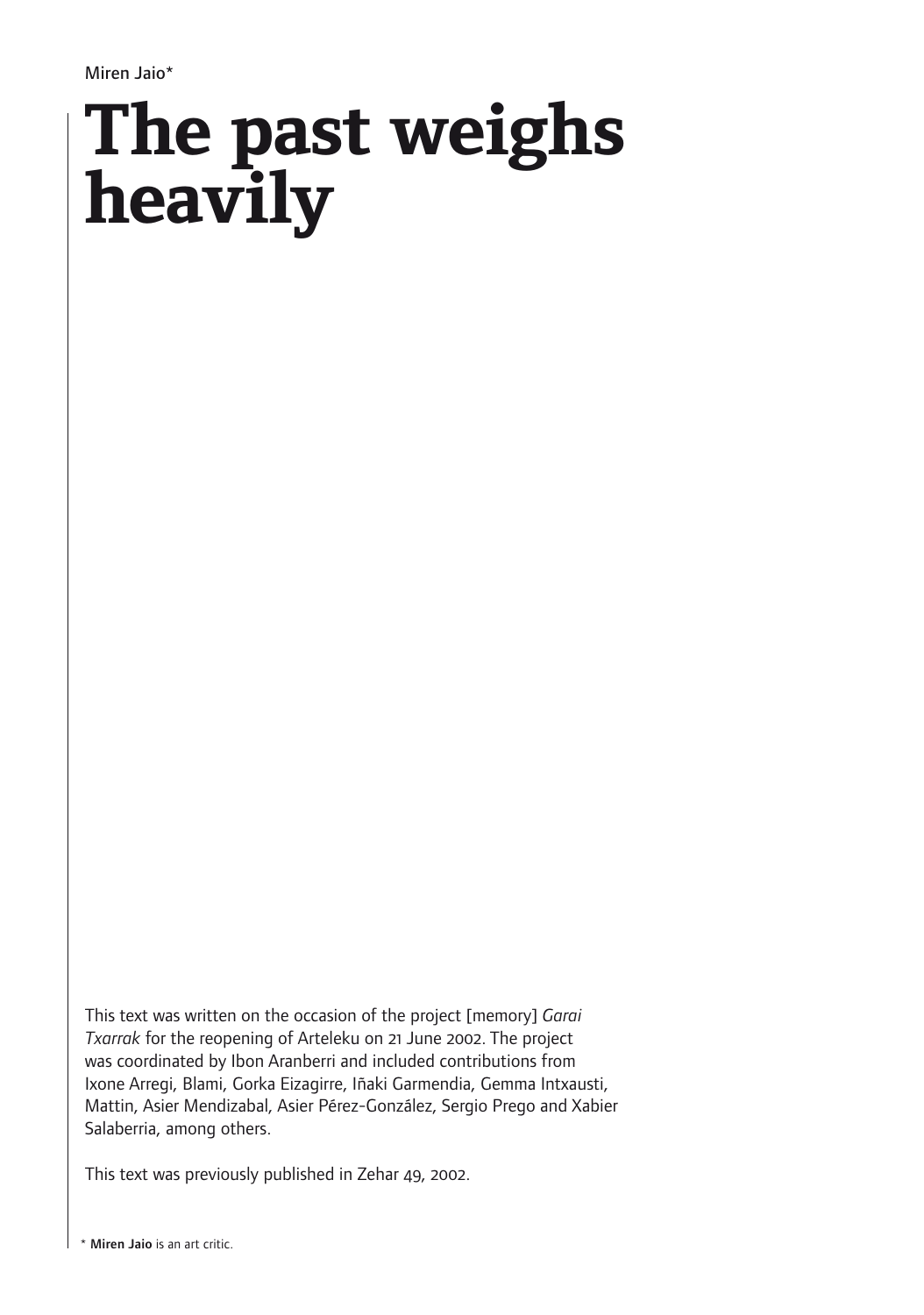Miren Jaio\*

## **The past weighs heavily**

This text was written on the occasion of the project [memory] *Garai Txarrak* for the reopening of Arteleku on 21 June 2002. The project was coordinated by Ibon Aranberri and included contributions from Ixone Arregi, Blami, Gorka Eizagirre, Iñaki Garmendia, Gemma Intxausti, Mattin, Asier Mendizabal, Asier Pérez-González, Sergio Prego and Xabier Salaberria, among others.

This text was previously published in Zehar 49, 2002.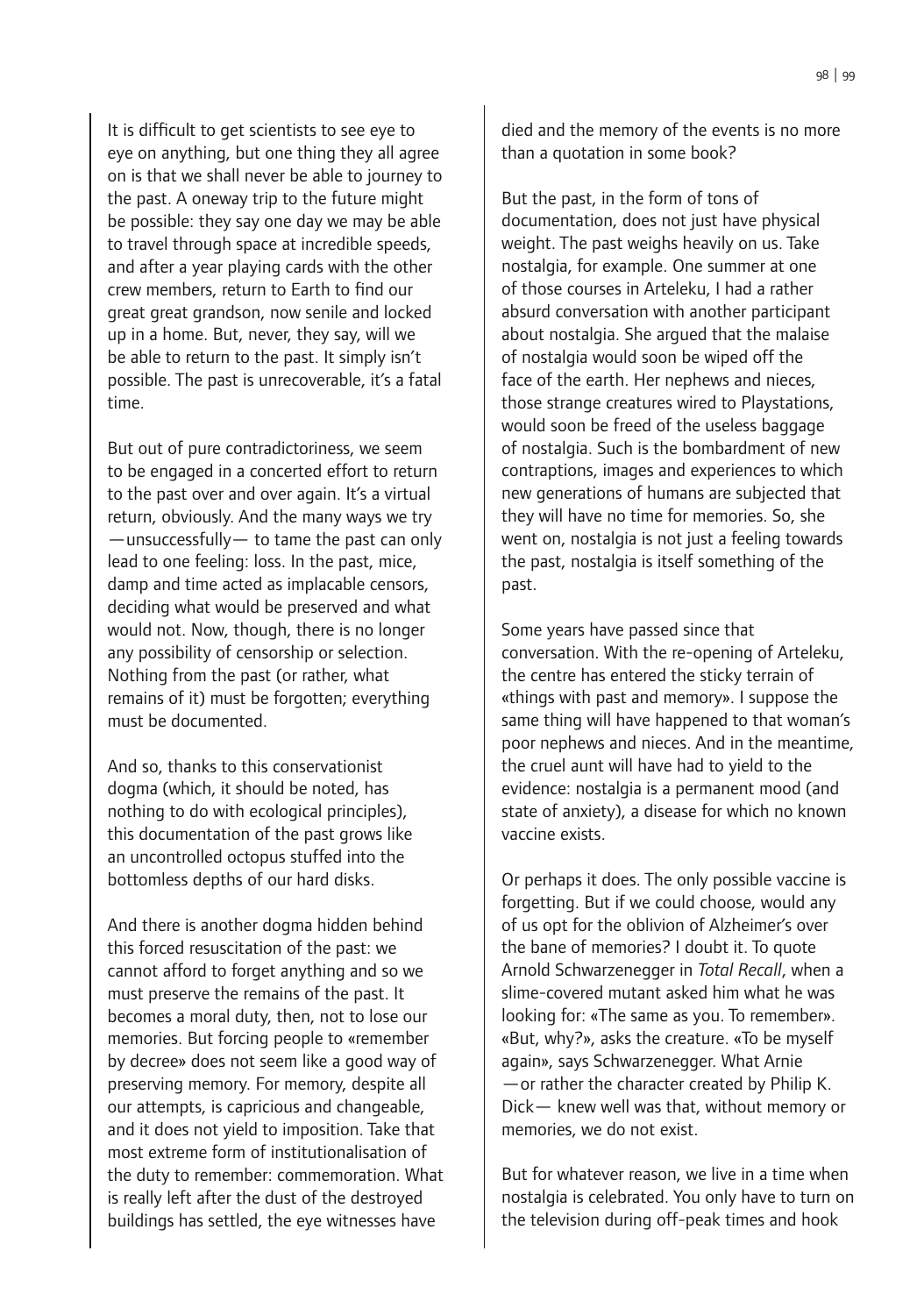It is difficult to get scientists to see eye to eye on anything, but one thing they all agree on is that we shall never be able to journey to the past. A oneway trip to the future might be possible: they say one day we may be able to travel through space at incredible speeds, and after a year playing cards with the other crew members, return to Earth to find our great great grandson, now senile and locked up in a home. But, never, they say, will we be able to return to the past. It simply isn't possible. The past is unrecoverable, it's a fatal time.

But out of pure contradictoriness, we seem to be engaged in a concerted effort to return to the past over and over again. It's a virtual return, obviously. And the many ways we try —unsuccessfully— to tame the past can only lead to one feeling: loss. In the past, mice, damp and time acted as implacable censors, deciding what would be preserved and what would not. Now, though, there is no longer any possibility of censorship or selection. Nothing from the past (or rather, what remains of it) must be forgotten; everything must be documented.

And so, thanks to this conservationist dogma (which, it should be noted, has nothing to do with ecological principles), this documentation of the past grows like an uncontrolled octopus stuffed into the bottomless depths of our hard disks.

And there is another dogma hidden behind this forced resuscitation of the past: we cannot afford to forget anything and so we must preserve the remains of the past. It becomes a moral duty, then, not to lose our memories. But forcing people to «remember by decree» does not seem like a good way of preserving memory. For memory, despite all our attempts, is capricious and changeable, and it does not yield to imposition. Take that most extreme form of institutionalisation of the duty to remember: commemoration. What is really left after the dust of the destroyed buildings has settled, the eye witnesses have

died and the memory of the events is no more than a quotation in some book?

But the past, in the form of tons of documentation, does not just have physical weight. The past weighs heavily on us. Take nostalgia, for example. One summer at one of those courses in Arteleku, I had a rather absurd conversation with another participant about nostalgia. She argued that the malaise of nostalgia would soon be wiped off the face of the earth. Her nephews and nieces, those strange creatures wired to Playstations, would soon be freed of the useless baggage of nostalgia. Such is the bombardment of new contraptions, images and experiences to which new generations of humans are subjected that they will have no time for memories. So, she went on, nostalgia is not just a feeling towards the past, nostalgia is itself something of the past.

Some years have passed since that conversation. With the re-opening of Arteleku, the centre has entered the sticky terrain of «things with past and memory». I suppose the same thing will have happened to that woman's poor nephews and nieces. And in the meantime, the cruel aunt will have had to yield to the evidence: nostalgia is a permanent mood (and state of anxiety), a disease for which no known vaccine exists.

Or perhaps it does. The only possible vaccine is forgetting. But if we could choose, would any of us opt for the oblivion of Alzheimer's over the bane of memories? I doubt it. To quote Arnold Schwarzenegger in *Total Recall*, when a slime-covered mutant asked him what he was looking for: «The same as you. To remember». «But, why?», asks the creature. «To be myself again», says Schwarzenegger. What Arnie —or rather the character created by Philip K. Dick— knew well was that, without memory or memories, we do not exist.

But for whatever reason, we live in a time when nostalgia is celebrated. You only have to turn on the television during off-peak times and hook